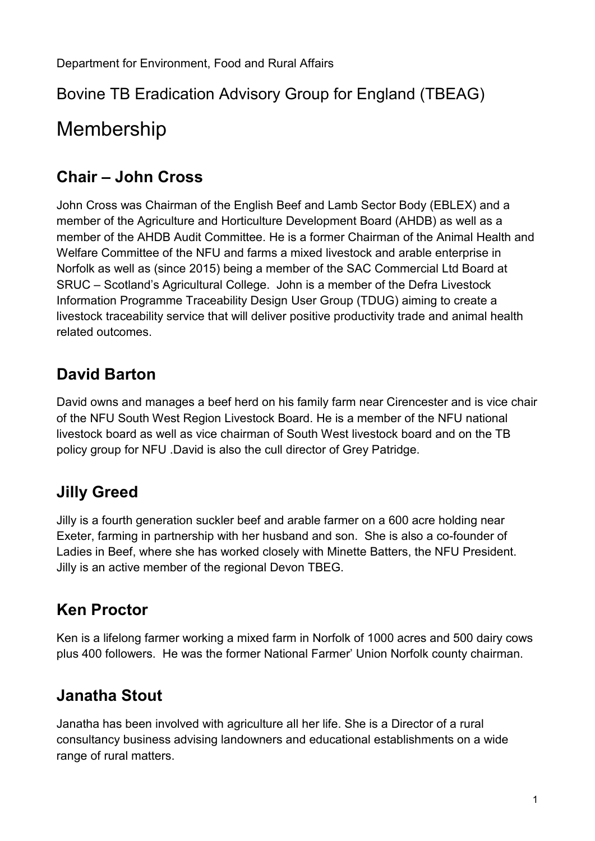#### Bovine TB Eradication Advisory Group for England (TBEAG)

# Membership

#### **Chair – John Cross**

John Cross was Chairman of the English Beef and Lamb Sector Body (EBLEX) and a member of the Agriculture and Horticulture Development Board (AHDB) as well as a member of the AHDB Audit Committee. He is a former Chairman of the Animal Health and Welfare Committee of the NFU and farms a mixed livestock and arable enterprise in Norfolk as well as (since 2015) being a member of the SAC Commercial Ltd Board at SRUC – Scotland's Agricultural College. John is a member of the Defra Livestock Information Programme Traceability Design User Group (TDUG) aiming to create a livestock traceability service that will deliver positive productivity trade and animal health related outcomes.

#### **David Barton**

David owns and manages a beef herd on his family farm near Cirencester and is vice chair of the NFU South West Region Livestock Board. He is a member of the NFU national livestock board as well as vice chairman of South West livestock board and on the TB policy group for NFU .David is also the cull director of Grey Patridge.

## **Jilly Greed**

Jilly is a fourth generation suckler beef and arable farmer on a 600 acre holding near Exeter, farming in partnership with her husband and son. She is also a co-founder of Ladies in Beef, where she has worked closely with Minette Batters, the NFU President. Jilly is an active member of the regional Devon TBEG.

#### **Ken Proctor**

Ken is a lifelong farmer working a mixed farm in Norfolk of 1000 acres and 500 dairy cows plus 400 followers. He was the former National Farmer' Union Norfolk county chairman.

## **Janatha Stout**

Janatha has been involved with agriculture all her life. She is a Director of a rural consultancy business advising landowners and educational establishments on a wide range of rural matters.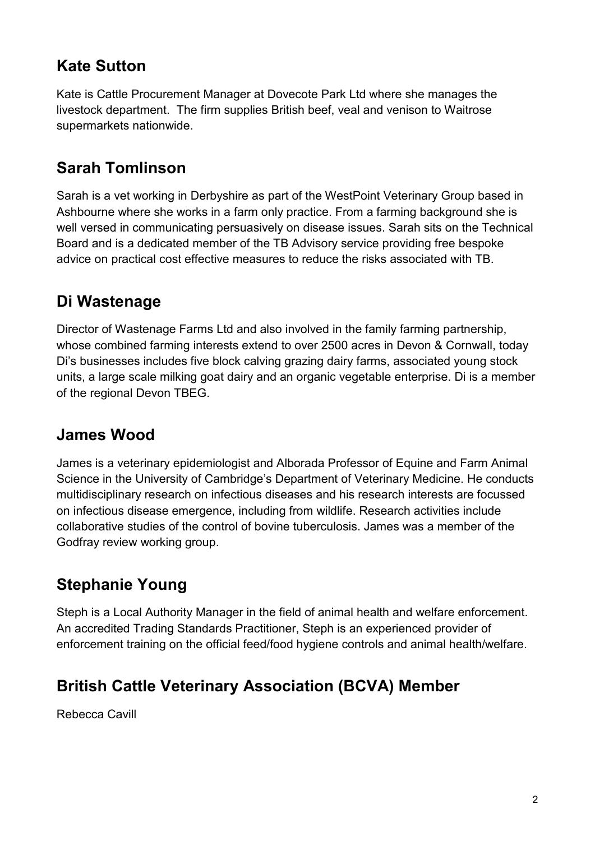## **Kate Sutton**

Kate is Cattle Procurement Manager at Dovecote Park Ltd where she manages the livestock department. The firm supplies British beef, veal and venison to Waitrose supermarkets nationwide.

## **Sarah Tomlinson**

Sarah is a vet working in Derbyshire as part of the WestPoint Veterinary Group based in Ashbourne where she works in a farm only practice. From a farming background she is well versed in communicating persuasively on disease issues. Sarah sits on the Technical Board and is a dedicated member of the TB Advisory service providing free bespoke advice on practical cost effective measures to reduce the risks associated with TB.

## **Di Wastenage**

Director of Wastenage Farms Ltd and also involved in the family farming partnership, whose combined farming interests extend to over 2500 acres in Devon & Cornwall, today Di's businesses includes five block calving grazing dairy farms, associated young stock units, a large scale milking goat dairy and an organic vegetable enterprise. Di is a member of the regional Devon TBEG.

## **James Wood**

James is a veterinary epidemiologist and Alborada Professor of Equine and Farm Animal Science in the University of Cambridge's Department of Veterinary Medicine. He conducts multidisciplinary research on infectious diseases and his research interests are focussed on infectious disease emergence, including from wildlife. Research activities include collaborative studies of the control of bovine tuberculosis. James was a member of the Godfray review working group.

## **Stephanie Young**

Steph is a Local Authority Manager in the field of animal health and welfare enforcement. An accredited Trading Standards Practitioner, Steph is an experienced provider of enforcement training on the official feed/food hygiene controls and animal health/welfare.

## **British Cattle Veterinary Association (BCVA) Member**

Rebecca Cavill